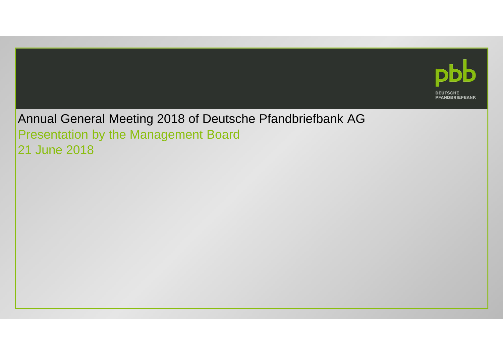

Annual General Meeting 2018 of Deutsche Pfandbriefbank AGPresentation by the Management Board 21 June 2018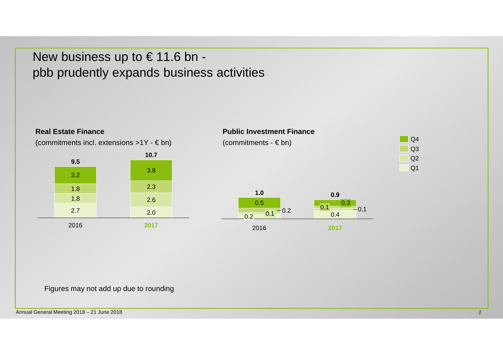# New business up to € 11.6 bn pbb prudently expands business activities

2.0

**2017**

#### (commitments incl. extensions >1Y - € bn)**9,5** 3.2**10.7**2.62.33.8**9.5**1.8 1.8



Figures may not add up due to rounding

**Real Estate Finance**

2016

2.7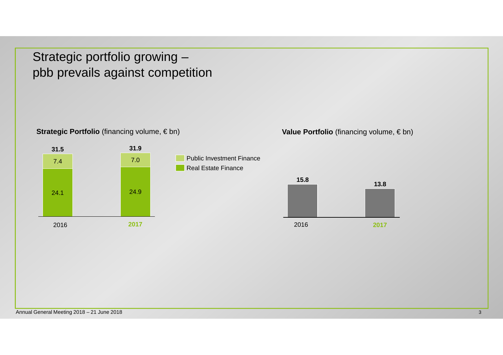Strategic portfolio growing –pbb prevails against competition

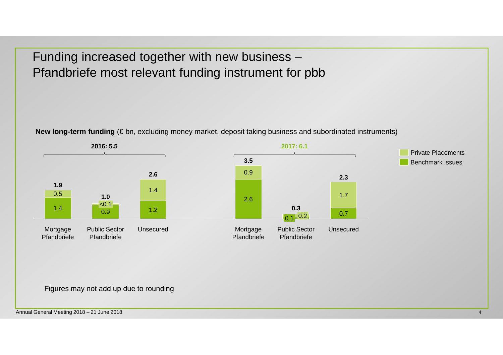Funding increased together with new business –Pfandbriefe most relevant funding instrument for pbb

**New long-term funding** (€ bn, excluding money market, deposit taking business and subordinated instruments)



### Figures may not add up due to rounding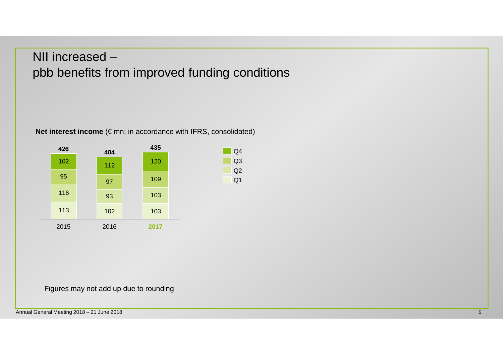# NII increased –pbb benefits from improved funding conditions

Q1 Q2 Q3  $\overline{Q4}$ 

**Net interest income** (€ mn; in accordance with IFRS, consolidated)



Figures may not add up due to rounding

Annual General Meeting 2018 – 21 June 2018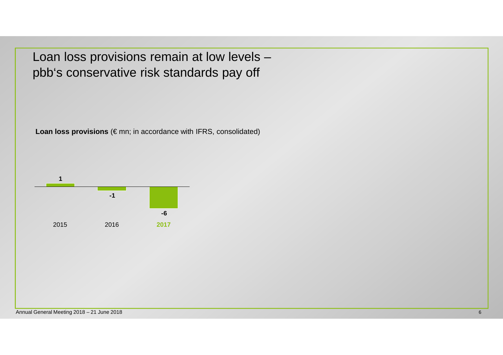Loan loss provisions remain at low levels –pbb's conservative risk standards pay off

Loan loss provisions (€ mn; in accordance with IFRS, consolidated)

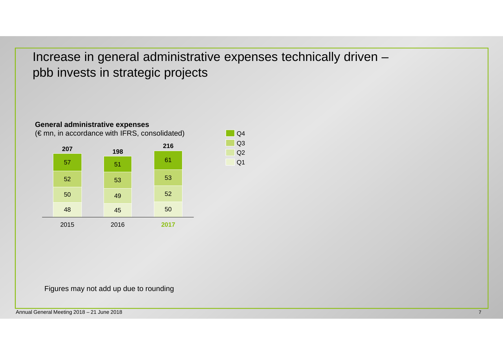Increase in general administrative expenses technically driven –pbb invests in strategic projects

> Q1  $Q2$

 $\overline{)$  Q4  $Q<sub>3</sub>$ 



#### **General administrative expenses**

Figures may not add up due to rounding

Annual General Meeting 2018 – 21 June 2018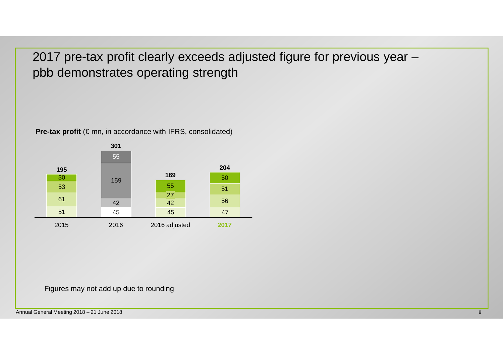2017 pre-tax profit clearly exceeds adjusted figure for previous year –pbb demonstrates operating strength



**Pre-tax profit** (€ mn, in accordance with IFRS, consolidated)

Figures may not add up due to rounding

Annual General Meeting 2018 – 21 June 2018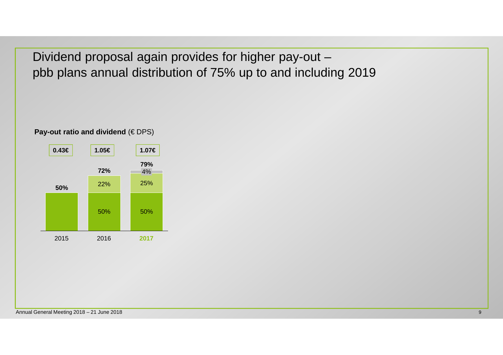Dividend proposal again provides for higher pay-out –pbb plans annual distribution of 75% up to and including 2019

**Pay-out ratio and dividend (€ DPS)** 

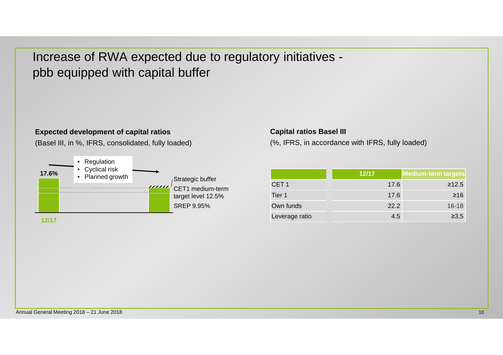Increase of RWA expected due to regulatory initiatives pbb equipped with capital buffer

#### **Expected development of capital ratios**

(Basel III, in %, IFRS, consolidated, fully loaded)



**12/17**

#### **Capital ratios Basel III**

(%, IFRS, in accordance with IFRS, fully loaded)

|                  | 12/17 | <b>Medium-term targets</b> |
|------------------|-------|----------------------------|
| CET <sub>1</sub> | 17.6  | $\geq 12.5$                |
| Tier 1           | 17.6  | $≥16$                      |
| Own funds        | 22.2  | $16 - 18$                  |
| Leverage ratio   | 4.5   | $\geq 3.5$                 |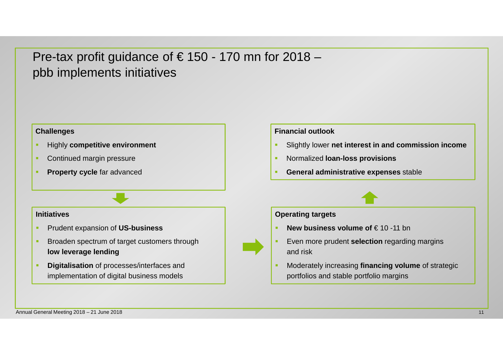### Pre-tax profit guidance of  $\epsilon$  150 - 170 mn for 2018 pbb implements initiatives